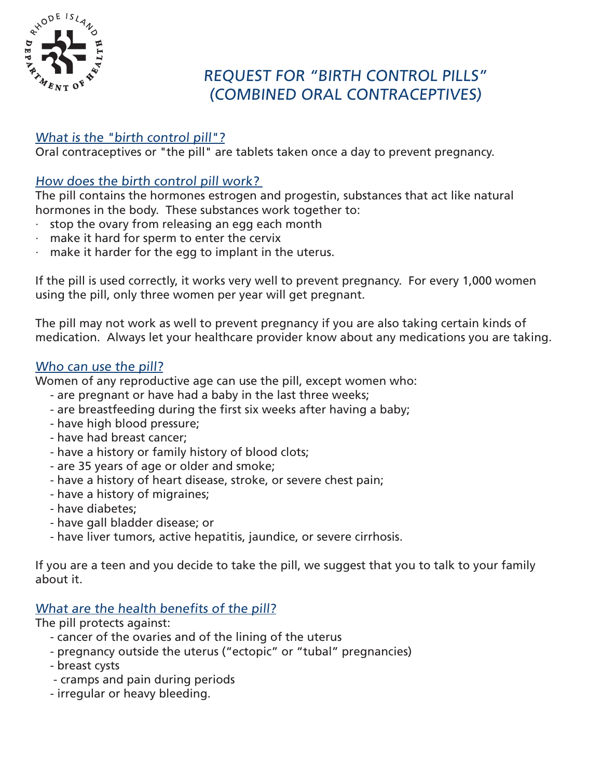

# REQUEST FOR "BIRTH CONTROL PILLS" (COMBINED ORAL CONTRACEPTIVES)

## What is the "birth control pill"?

Oral contraceptives or "the pill" are tablets taken once a day to prevent pregnancy.

## How does the birth control pill work?

The pill contains the hormones estrogen and progestin, substances that act like natural hormones in the body. These substances work together to:

- stop the ovary from releasing an egg each month
- make it hard for sperm to enter the cervix
- make it harder for the egg to implant in the uterus.

If the pill is used correctly, it works very well to prevent pregnancy. For every 1,000 women using the pill, only three women per year will get pregnant.

The pill may not work as well to prevent pregnancy if you are also taking certain kinds of medication. Always let your healthcare provider know about any medications you are taking.

#### Who can use the pill?

Women of any reproductive age can use the pill, except women who:

- are pregnant or have had a baby in the last three weeks;
- are breastfeeding during the first six weeks after having a baby;
- have high blood pressure;
- have had breast cancer;
- have a history or family history of blood clots;
- are 35 years of age or older and smoke;
- have a history of heart disease, stroke, or severe chest pain;
- have a history of migraines;
- have diabetes;
- have gall bladder disease; or
- have liver tumors, active hepatitis, jaundice, or severe cirrhosis.

If you are a teen and you decide to take the pill, we suggest that you to talk to your family about it.

## What are the health benefits of the pill?

The pill protects against:

- cancer of the ovaries and of the lining of the uterus
- pregnancy outside the uterus ("ectopic" or "tubal" pregnancies)
- breast cysts
- cramps and pain during periods
- irregular or heavy bleeding.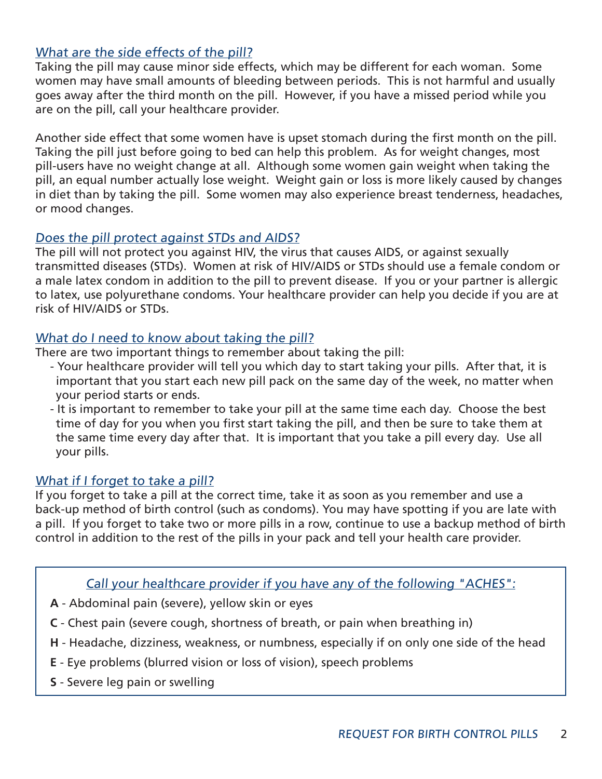## What are the side effects of the pill?

Taking the pill may cause minor side effects, which may be different for each woman. Some women may have small amounts of bleeding between periods. This is not harmful and usually goes away after the third month on the pill. However, if you have a missed period while you are on the pill, call your healthcare provider.

Another side effect that some women have is upset stomach during the first month on the pill. Taking the pill just before going to bed can help this problem. As for weight changes, most pill-users have no weight change at all. Although some women gain weight when taking the pill, an equal number actually lose weight. Weight gain or loss is more likely caused by changes in diet than by taking the pill. Some women may also experience breast tenderness, headaches, or mood changes.

### Does the pill protect against STDs and AIDS?

The pill will not protect you against HIV, the virus that causes AIDS, or against sexually transmitted diseases (STDs). Women at risk of HIV/AIDS or STDs should use a female condom or a male latex condom in addition to the pill to prevent disease. If you or your partner is allergic to latex, use polyurethane condoms. Your healthcare provider can help you decide if you are at risk of HIV/AIDS or STDs.

#### What do I need to know about taking the pill?

There are two important things to remember about taking the pill:

- Your healthcare provider will tell you which day to start taking your pills. After that, it is important that you start each new pill pack on the same day of the week, no matter when your period starts or ends.
- It is important to remember to take your pill at the same time each day. Choose the best time of day for you when you first start taking the pill, and then be sure to take them at the same time every day after that. It is important that you take a pill every day. Use all your pills.

#### What if I forget to take a pill?

If you forget to take a pill at the correct time, take it as soon as you remember and use a back-up method of birth control (such as condoms). You may have spotting if you are late with a pill. If you forget to take two or more pills in a row, continue to use a backup method of birth control in addition to the rest of the pills in your pack and tell your health care provider.

#### Call your healthcare provider if you have any of the following "ACHES":

- **A** Abdominal pain (severe), yellow skin or eyes
- **C** Chest pain (severe cough, shortness of breath, or pain when breathing in)
- **H** Headache, dizziness, weakness, or numbness, especially if on only one side of the head
- **E** Eye problems (blurred vision or loss of vision), speech problems
- **S** Severe leg pain or swelling